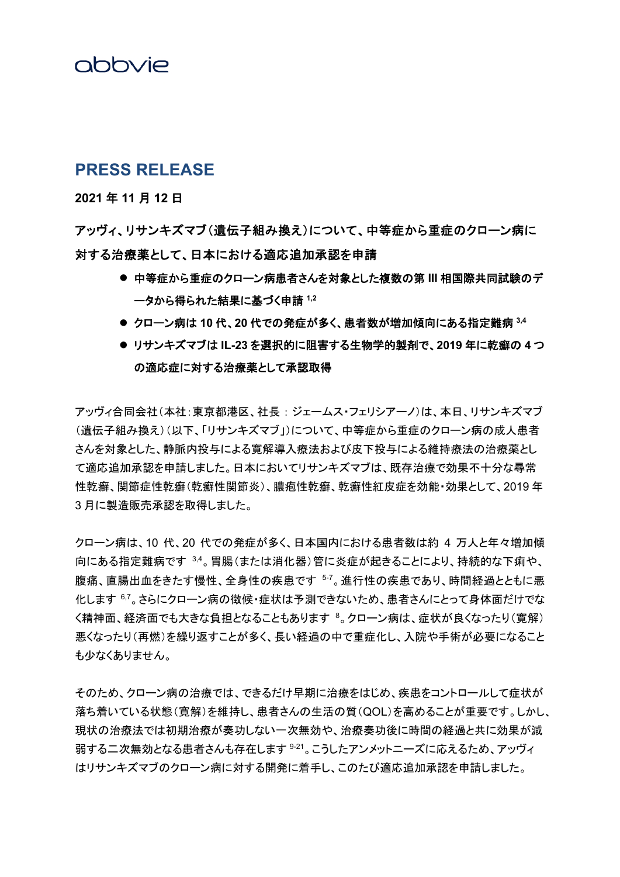### abbvie

### **PRESS RELEASE**

**2021** 年 **11** 月 **12** 日

アッヴィ、リサンキズマブ(遺伝子組み換え)について、中等症から重症のクローン病に 対する治療薬として、日本における適応追加承認を申請

- 中等症から重症のクローン病患者さんを対象とした複数の第 **III** 相国際共同試験のデ ータから得られた結果に基づく申請 **1,2**
- クローン病は **10** 代、**20** 代での発症が多く、患者数が増加傾向にある指定難病 **3,4**
- リサンキズマブは **IL-23** を選択的に阻害する生物学的製剤で、**2019** 年に乾癬の **4** つ の適応症に対する治療薬として承認取得

アッヴィ合同会社(本社:東京都港区、社長 : ジェームス・フェリシアーノ)は、本日、リサンキズマブ (遺伝子組み換え)(以下、「リサンキズマブ」)について、中等症から重症のクローン病の成人患者 さんを対象とした、静脈内投与による寛解導入療法および皮下投与による維持療法の治療薬とし て適応追加承認を申請しました。日本においてリサンキズマブは、既存治療で効果不十分な尋常 性乾癬、関節症性乾癬(乾癬性関節炎)、膿疱性乾癬、乾癬性紅皮症を効能・効果として、2019 年 3 月に製造販売承認を取得しました。

クローン病は、10 代、20 代での発症が多く、日本国内における患者数は約 4 万人と年々増加傾 向にある指定難病です 3,4。胃腸(または消化器)管に炎症が起きることにより、持続的な下痢や、 腹痛、直腸出血をきたす慢性、全身性の疾患です 57。進行性の疾患であり、時間経過とともに悪 化します 67。さらにクローン病の徴候・症状は予測できないため、患者さんにとって身体面だけでな く精神面、経済面でも大きな負担となることもあります <sup>8</sup>。クローン病は、症状が良くなったり(寛解) 悪くなったり(再燃)を繰り返すことが多く、長い経過の中で重症化し、入院や手術が必要になること も少なくありません。

そのため、クローン病の治療では、できるだけ早期に治療をはじめ、疾患をコントロールして症状が 落ち着いている状態(寛解)を維持し、患者さんの生活の質(QOL)を高めることが重要です。しかし、 現状の治療法では初期治療が奏功しない一次無効や、治療奏功後に時間の経過と共に効果が減 弱する二次無効となる患者さんも存在します  $9-21$ 。こうしたアンメットニーズに応えるため、アッヴィ はリサンキズマブのクローン病に対する開発に着手し、このたび適応追加承認を申請しました。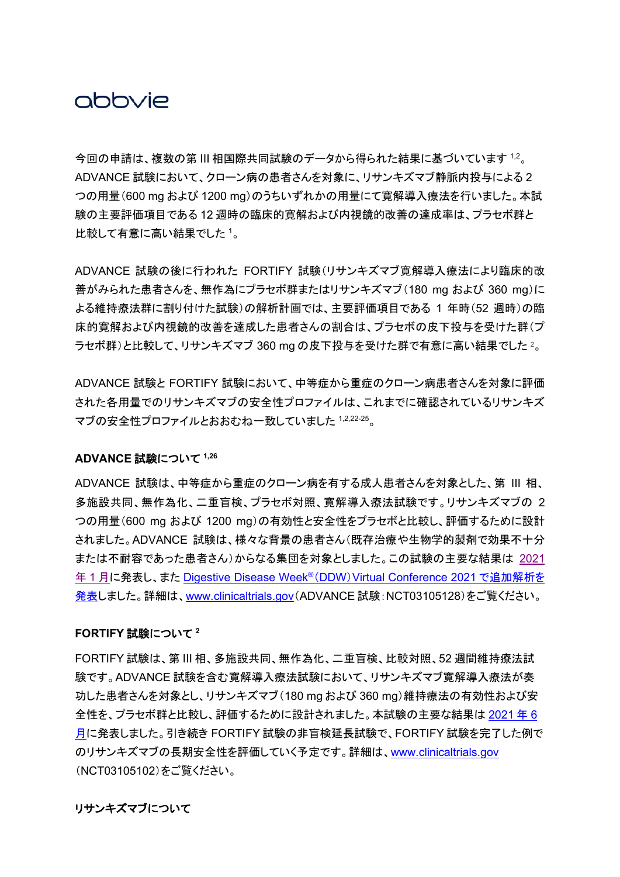## abbyje

今回の申請は、複数の第 III 相国際共同試験のデータから得られた結果に基づいています 1,2。 ADVANCE 試験において、クローン病の患者さんを対象に、リサンキズマブ静脈内投与による 2 つの用量(600 mg および 1200 mg)のうちいずれかの用量にて寛解導入療法を行いました。本試 験の主要評価項目である 12 週時の臨床的寛解および内視鏡的改善の達成率は、プラセボ群と 比較して有意に高い結果でした <sup>1</sup>。

ADVANCE 試験の後に行われた FORTIFY 試験(リサンキズマブ寛解導入療法により臨床的改 善がみられた患者さんを、無作為にプラセボ群またはリサンキズマブ(180 mg および 360 mg)に よる維持療法群に割り付けた試験)の解析計画では、主要評価項目である 1 年時(52 週時)の臨 床的寛解および内視鏡的改善を達成した患者さんの割合は、プラセボの皮下投与を受けた群(プ ラセボ群)と比較して、リサンキズマブ 360 mg の皮下投与を受けた群で有意に高い結果でした <sup>2</sup>。

ADVANCE 試験と FORTIFY 試験において、中等症から重症のクローン病患者さんを対象に評価 された各用量でのリサンキズマブの安全性プロファイルは、これまでに確認されているリサンキズ マブの安全性プロファイルとおおむね一致していました 1,2,22-25。

#### **ADVANCE** 試験について **1,26**

ADVANCE 試験は、中等症から重症のクローン病を有する成人患者さんを対象とした、第 III 相、 多施設共同、無作為化、二重盲検、プラセボ対照、寛解導入療法試験です。リサンキズマブの 2 つの用量(600 mg および 1200 mg)の有効性と安全性をプラセボと比較し、評価するために設計 されました。ADVANCE 試験は、様々な背景の患者さん(既存治療や生物学的製剤で効果不十分 または不耐容であった患者さん)からなる集団を対象としました。この試験の主要な結果は [2021](https://www.abbvie.co.jp/content/dam/abbvie-dotcom/jp/documents/press-release/2021_0122.pdf) 年 1 [月に](https://www.abbvie.co.jp/content/dam/abbvie-dotcom/jp/documents/press-release/2021_0122.pdf)発表し、また [Digestive Disease Week](https://www.abbvie.co.jp/content/dam/abbvie-dotcom/jp/documents/press-release/2021_0608.pdf)®(DDW)Virtual Conference 2021 で追[加解析を](https://www.abbvie.co.jp/content/dam/abbvie-dotcom/jp/documents/press-release/2021_0608.pdf) [発表し](https://www.abbvie.co.jp/content/dam/abbvie-dotcom/jp/documents/press-release/2021_0608.pdf)ました。詳細は、[www.clinicaltrials.gov](http://www.clinicaltrials.gov/)(ADVANCE 試験:NCT03105128)をご覧ください。

#### **FORTIFY** 試験について **<sup>2</sup>**

FORTIFY 試験は、第 III 相、多施設共同、無作為化、二重盲検、比較対照、52 週間維持療法試 験です。ADVANCE 試験を含む寛解導入療法試験において、リサンキズマブ寛解導入療法が奏 功した患者さんを対象とし、リサンキズマブ(180 mg および 360 mg)維持療法の有効性および安 全性を、プラセボ群と比較し、評価するために設計されました。本試験の主要な結果は [2021](https://www.abbvie.co.jp/content/dam/abbvie-dotcom/jp/documents/press-release/2021_0617.pdf) 年 6 [月に](https://www.abbvie.co.jp/content/dam/abbvie-dotcom/jp/documents/press-release/2021_0617.pdf)発表しました。引き続き FORTIFY 試験の非盲検延長試験で、FORTIFY 試験を完了した例で のリサンキズマブの長期安全性を評価していく予定です。詳細は、[www.clinicaltrials.gov](http://www.clinicaltrials.gov/) (NCT03105102)をご覧ください。

### リサンキズマブについて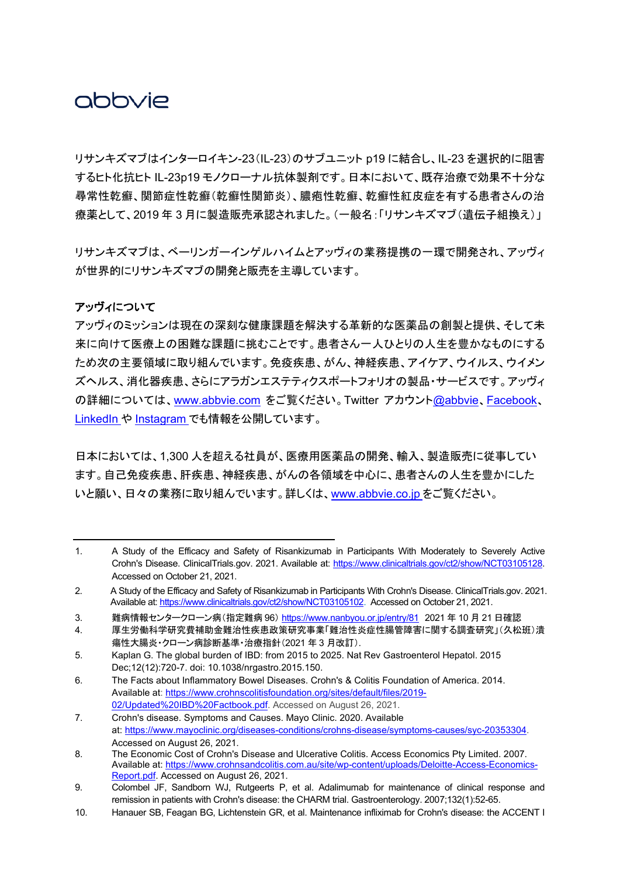# abbyje

リサンキズマブはインターロイキン-23(IL-23)のサブユニット p19 に結合し、IL-23 を選択的に阻害 するヒト化抗ヒト IL-23p19 モノクローナル抗体製剤です。日本において、既存治療で効果不十分な 尋常性乾癬、関節症性乾癬(乾癬性関節炎)、膿疱性乾癬、乾癬性紅皮症を有する患者さんの治 療薬として、2019 年 3 月に製造販売承認されました。(一般名:「リサンキズマブ(遺伝子組換え)」

リサンキズマブは、ベーリンガーインゲルハイムとアッヴィの業務提携の一環で開発され、アッヴィ が世界的にリサンキズマブの開発と販売を主導しています。

### アッヴィについて

アッヴィのミッションは現在の深刻な健康課題を解決する革新的な医薬品の創製と提供、そして未 来に向けて医療上の困難な課題に挑むことです。患者さん一人ひとりの人生を豊かなものにする ため次の主要領域に取り組んでいます。免疫疾患、がん、神経疾患、アイケア、ウイルス、ウイメン ズヘルス、消化器疾患、さらにアラガンエステティクスポートフォリオの製品・サービスです。アッヴィ の詳細については、[www.abbvie.com](https://www.abbvie.com/) をご覧ください。Twitter アカウント[@abbvie](https://twitter.com/abbvie)、[Facebook](https://www.facebook.com/AbbVieGlobal)、 [LinkedIn](https://www.linkedin.com/company/abbvie) や [Instagram](https://www.instagram.com/abbvie/)</u> でも情報を公開しています。

日本においては、1,300 人を超える社員が、医療用医薬品の開発、輸入、製造販売に従事してい ます。自己免疫疾患、肝疾患、神経疾患、がんの各領域を中心に、患者さんの人生を豊かにした いと願い、日々の業務に取り組んでいます。詳しくは、[www.abbvie.co.jp](https://www.abbvie.co.jp/) をご覧ください。

<sup>1.</sup> A Study of the Efficacy and Safety of Risankizumab in Participants With Moderately to Severely Active Crohn's Disease. ClinicalTrials.gov. 2021. Available at: [https://www.clinicaltrials.gov/ct2/show/NCT03105128.](https://www.clinicaltrials.gov/ct2/show/NCT03105128) Accessed on October 21, 2021.

<sup>2.</sup> A Study of the Efficacy and Safety of Risankizumab in Participants With Crohn's Disease. ClinicalTrials.gov. 2021. Available at[: https://www.clinicaltrials.gov/ct2/show/NCT03105102.](https://www.clinicaltrials.gov/ct2/show/NCT03105102) Accessed on October 21, 2021.

<sup>3.</sup> 難病情報センタークローン病(指定難病 96) <https://www.nanbyou.or.jp/entry/81> 2021 年 10 月 21 日確認

<sup>4.</sup> 厚生労働科学研究費補助金難治性疾患政策研究事業「難治性炎症性腸管障害に関する調査研究」(久松班)潰 瘍性大腸炎・クローン病診断基準・治療指針(2021 年 3 月改訂).

<sup>5.</sup> Kaplan G. The global burden of IBD: from 2015 to 2025. Nat Rev Gastroenterol Hepatol. 2015 Dec;12(12):720-7. doi: 10.1038/nrgastro.2015.150.

<sup>6.</sup> The Facts about Inflammatory Bowel Diseases. Crohn's & Colitis Foundation of America. 2014. Available at: [https://www.crohnscolitisfoundation.org/sites/default/files/2019-](https://c212.net/c/link/?t=0&l=en&o=3295115-1&h=2327458411&u=https%3A%2F%2Fwww.crohnscolitisfoundation.org%2Fsites%2Fdefault%2Ffiles%2F2019-02%2FUpdated%2520IBD%2520Factbook.pdf&a=https%3A%2F%2Fwww.crohnscolitisfoundation.org%2Fsites%2Fdefault%2Ffiles%2F2019-02%2FUpdated%2520IBD%2520Factbook.pdf) [02/Updated%20IBD%20Factbook.pdf.](https://c212.net/c/link/?t=0&l=en&o=3295115-1&h=2327458411&u=https%3A%2F%2Fwww.crohnscolitisfoundation.org%2Fsites%2Fdefault%2Ffiles%2F2019-02%2FUpdated%2520IBD%2520Factbook.pdf&a=https%3A%2F%2Fwww.crohnscolitisfoundation.org%2Fsites%2Fdefault%2Ffiles%2F2019-02%2FUpdated%2520IBD%2520Factbook.pdf) Accessed on August 26, 2021.

<sup>7.</sup> Crohn's disease. Symptoms and Causes. Mayo Clinic. 2020. Available at: [https://www.mayoclinic.org/diseases-conditions/crohns-disease/symptoms-causes/syc-20353304.](https://c212.net/c/link/?t=0&l=en&o=3295115-1&h=957984775&u=https%3A%2F%2Fwww.mayoclinic.org%2Fdiseases-conditions%2Fcrohns-disease%2Fsymptoms-causes%2Fsyc-20353304&a=https%3A%2F%2Fwww.mayoclinic.org%2Fdiseases-conditions%2Fcrohns-disease%2Fsymptoms-causes%2Fsyc-20353304) Accessed on August 26, 2021.

<sup>8.</sup> The Economic Cost of Crohn's Disease and Ulcerative Colitis. Access Economics Pty Limited. 2007. Available at: [https://www.crohnsandcolitis.com.au/site/wp-content/uploads/Deloitte-Access-Economics-](https://c212.net/c/link/?t=0&l=en&o=3295115-1&h=775792678&u=https%3A%2F%2Fwww.crohnsandcolitis.com.au%2Fsite%2Fwp-content%2Fuploads%2FDeloitte-Access-Economics-Report.pdf&a=https%3A%2F%2Fwww.crohnsandcolitis.com.au%2Fsite%2Fwp-content%2Fuploads%2FDeloitte-Access-Economics-Report.pdf)[Report.pdf.](https://c212.net/c/link/?t=0&l=en&o=3295115-1&h=775792678&u=https%3A%2F%2Fwww.crohnsandcolitis.com.au%2Fsite%2Fwp-content%2Fuploads%2FDeloitte-Access-Economics-Report.pdf&a=https%3A%2F%2Fwww.crohnsandcolitis.com.au%2Fsite%2Fwp-content%2Fuploads%2FDeloitte-Access-Economics-Report.pdf) Accessed on August 26, 2021.

<sup>9.</sup> Colombel JF, Sandborn WJ, Rutgeerts P, et al. Adalimumab for maintenance of clinical response and remission in patients with Crohn's disease: the CHARM trial. Gastroenterology. 2007;132(1):52-65.

<sup>10.</sup> Hanauer SB, Feagan BG, Lichtenstein GR, et al. Maintenance infliximab for Crohn's disease: the ACCENT I